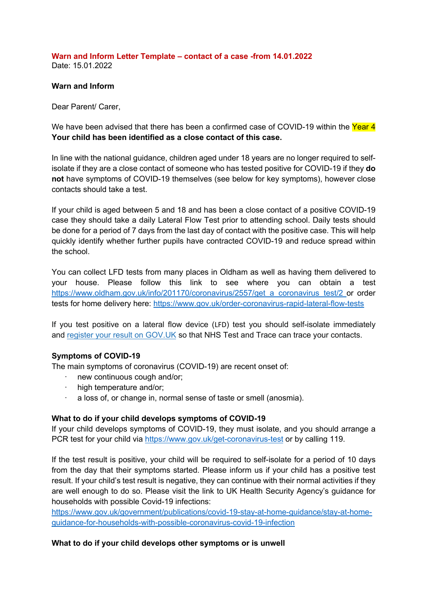## **Warn and Inform Letter Template – contact of a case -from 14.01.2022** Date: 15.01.2022

## **Warn and Inform**

Dear Parent/ Carer,

We have been advised that there has been a confirmed case of COVID-19 within the Year 4 **Your child has been identified as a close contact of this case.**

In line with the national guidance, children aged under 18 years are no longer required to selfisolate if they are a close contact of someone who has tested positive for COVID-19 if they **do not** have symptoms of COVID-19 themselves (see below for key symptoms), however close contacts should take a test.

If your child is aged between 5 and 18 and has been a close contact of a positive COVID-19 case they should take a daily Lateral Flow Test prior to attending school. Daily tests should be done for a period of 7 days from the last day of contact with the positive case. This will help quickly identify whether further pupils have contracted COVID-19 and reduce spread within the school.

You can collect LFD tests from many places in Oldham as well as having them delivered to your house. Please follow this link to see where you can obtain a test https://www.oldham.gov.uk/info/201170/coronavirus/2557/get\_a\_coronavirus\_test/2 or order tests for home delivery here: https://www.gov.uk/order-coronavirus-rapid-lateral-flow-tests

If you test positive on a lateral flow device (LFD) test you should self-isolate immediately and register your result on GOV.UK so that NHS Test and Trace can trace your contacts.

## **Symptoms of COVID-19**

The main symptoms of coronavirus (COVID-19) are recent onset of:

- new continuous cough and/or;
- high temperature and/or;
- a loss of, or change in, normal sense of taste or smell (anosmia).

## **What to do if your child develops symptoms of COVID-19**

If your child develops symptoms of COVID-19, they must isolate, and you should arrange a PCR test for your child via https://www.gov.uk/get-coronavirus-test or by calling 119.

If the test result is positive, your child will be required to self-isolate for a period of 10 days from the day that their symptoms started. Please inform us if your child has a positive test result. If your child's test result is negative, they can continue with their normal activities if they are well enough to do so. Please visit the link to UK Health Security Agency's guidance for households with possible Covid-19 infections:

https://www.gov.uk/government/publications/covid-19-stay-at-home-guidance/stay-at-homeguidance-for-households-with-possible-coronavirus-covid-19-infection

## **What to do if your child develops other symptoms or is unwell**